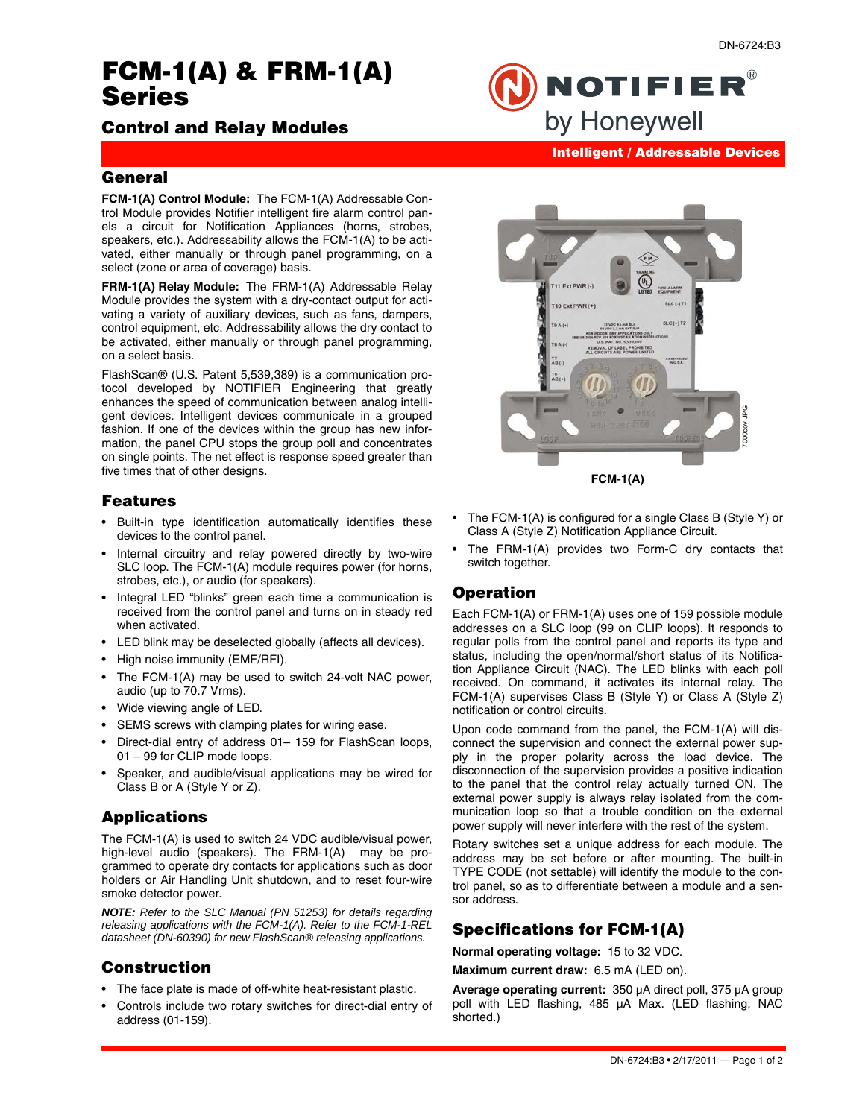# **FCM-1(A) & FRM-1(A) Series**

# **Control and Relay Modules**

**Intelligent / Addressable Devices**

**NOTIFIER®** 

by Honeywell

### **General**

**FCM-1(A) Control Module:** The FCM-1(A) Addressable Control Module provides Notifier intelligent fire alarm control panels a circuit for Notification Appliances (horns, strobes, speakers, etc.). Addressability allows the FCM-1(A) to be activated, either manually or through panel programming, on a select (zone or area of coverage) basis.

**FRM-1(A) Relay Module:** The FRM-1(A) Addressable Relay Module provides the system with a dry-contact output for activating a variety of auxiliary devices, such as fans, dampers, control equipment, etc. Addressability allows the dry contact to be activated, either manually or through panel programming, on a select basis.

FlashScan® (U.S. Patent 5,539,389) is a communication protocol developed by NOTIFIER Engineering that greatly enhances the speed of communication between analog intelligent devices. Intelligent devices communicate in a grouped fashion. If one of the devices within the group has new information, the panel CPU stops the group poll and concentrates on single points. The net effect is response speed greater than five times that of other designs.

# **Features**

- Built-in type identification automatically identifies these devices to the control panel.
- Internal circuitry and relay powered directly by two-wire SLC loop. The FCM-1(A) module requires power (for horns, strobes, etc.), or audio (for speakers).
- Integral LED "blinks" green each time a communication is received from the control panel and turns on in steady red when activated.
- LED blink may be deselected globally (affects all devices).
- High noise immunity (EMF/RFI).
- The FCM-1(A) may be used to switch 24-volt NAC power, audio (up to 70.7 Vrms).
- Wide viewing angle of LED.
- SEMS screws with clamping plates for wiring ease.
- Direct-dial entry of address 01– 159 for FlashScan loops, 01 – 99 for CLIP mode loops.
- Speaker, and audible/visual applications may be wired for Class B or A (Style Y or Z).

# **Applications**

The FCM-1(A) is used to switch 24 VDC audible/visual power, high-level audio (speakers). The FRM-1(A) may be programmed to operate dry contacts for applications such as door holders or Air Handling Unit shutdown, and to reset four-wire smoke detector power.

*NOTE: Refer to the SLC Manual (PN 51253) for details regarding releasing applications with the FCM-1(A). Refer to the FCM-1-REL datasheet (DN-60390) for new FlashScan® releasing applications.* 

### **Construction**

- The face plate is made of off-white heat-resistant plastic.
- Controls include two rotary switches for direct-dial entry of address (01-159).



**FCM-1(A)**

- The FCM-1(A) is configured for a single Class B (Style Y) or Class A (Style Z) Notification Appliance Circuit.
- The FRM-1(A) provides two Form-C dry contacts that switch together.

### **Operation**

Each FCM-1(A) or FRM-1(A) uses one of 159 possible module addresses on a SLC loop (99 on CLIP loops). It responds to regular polls from the control panel and reports its type and status, including the open/normal/short status of its Notification Appliance Circuit (NAC). The LED blinks with each poll received. On command, it activates its internal relay. The FCM-1(A) supervises Class B (Style Y) or Class A (Style Z) notification or control circuits.

Upon code command from the panel, the FCM-1(A) will disconnect the supervision and connect the external power supply in the proper polarity across the load device. The disconnection of the supervision provides a positive indication to the panel that the control relay actually turned ON. The external power supply is always relay isolated from the communication loop so that a trouble condition on the external power supply will never interfere with the rest of the system.

Rotary switches set a unique address for each module. The address may be set before or after mounting. The built-in TYPE CODE (not settable) will identify the module to the control panel, so as to differentiate between a module and a sensor address.

# **Specifications for FCM-1(A)**

**Normal operating voltage:** 15 to 32 VDC.

**Maximum current draw:** 6.5 mA (LED on).

**Average operating current:** 350 μA direct poll, 375 μA group poll with LED flashing, 485 μA Max. (LED flashing, NAC shorted.)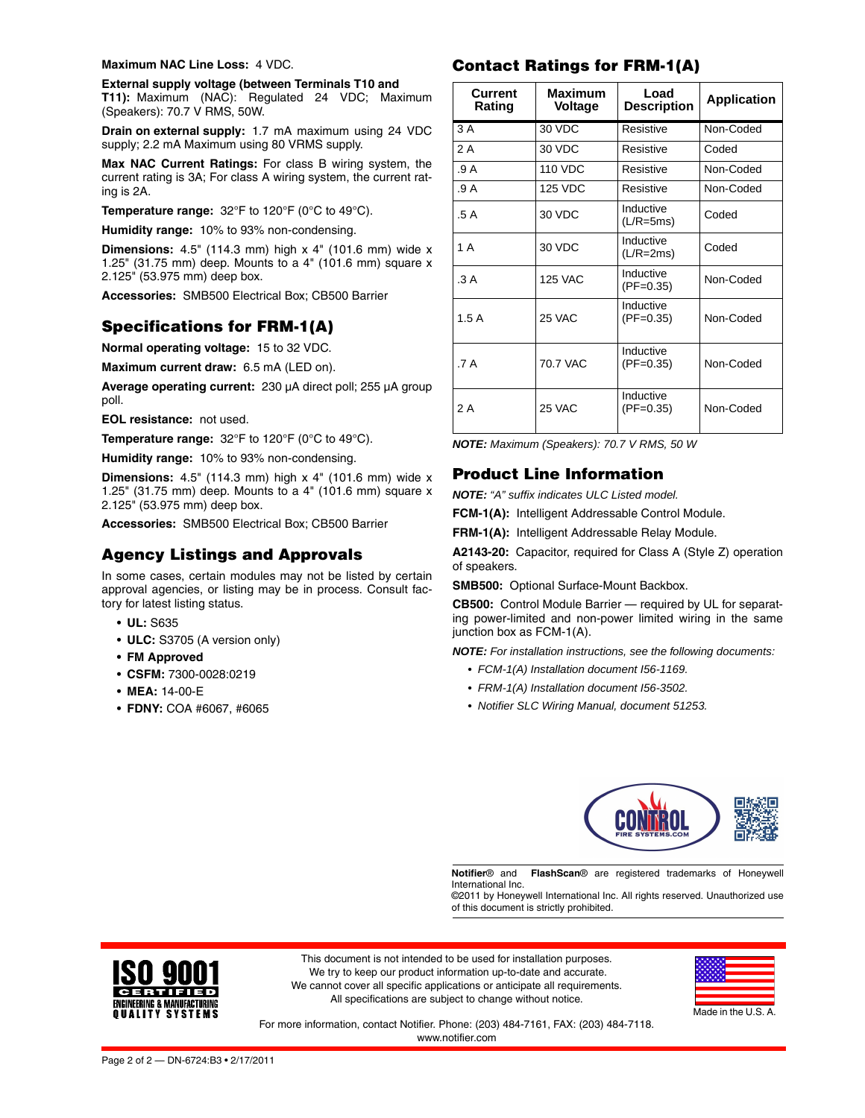#### **Maximum NAC Line Loss:** 4 VDC.

**External supply voltage (between Terminals T10 and T11):** Maximum (NAC): Regulated 24 VDC; Maximum (Speakers): 70.7 V RMS, 50W.

**Drain on external supply:** 1.7 mA maximum using 24 VDC supply; 2.2 mA Maximum using 80 VRMS supply.

**Max NAC Current Ratings:** For class B wiring system, the current rating is 3A; For class A wiring system, the current rating is 2A.

**Temperature range:** 32°F to 120°F (0°C to 49°C).

**Humidity range:** 10% to 93% non-condensing.

**Dimensions:** 4.5" (114.3 mm) high x 4" (101.6 mm) wide x 1.25" (31.75 mm) deep. Mounts to a 4" (101.6 mm) square x 2.125" (53.975 mm) deep box.

**Accessories:** SMB500 Electrical Box; CB500 Barrier

# **Specifications for FRM-1(A)**

**Normal operating voltage:** 15 to 32 VDC.

**Maximum current draw:** 6.5 mA (LED on).

**Average operating current:** 230 μA direct poll; 255 μA group poll.

**EOL resistance:** not used.

**Temperature range:** 32°F to 120°F (0°C to 49°C).

**Humidity range:** 10% to 93% non-condensing.

**Dimensions:** 4.5" (114.3 mm) high x 4" (101.6 mm) wide x 1.25" (31.75 mm) deep. Mounts to a 4" (101.6 mm) square x 2.125" (53.975 mm) deep box.

**Accessories:** SMB500 Electrical Box; CB500 Barrier

### **Agency Listings and Approvals**

In some cases, certain modules may not be listed by certain approval agencies, or listing may be in process. Consult factory for latest listing status.

- **UL:** S635
- **ULC:** S3705 (A version only)
- **• FM Approved**
- **CSFM:** 7300-0028:0219
- **MEA:** 14-00-E
- **FDNY:** COA #6067, #6065

## **Contact Ratings for FRM-1(A)**

| <b>Current</b><br>Rating | <b>Maximum</b><br>Voltage | Load<br><b>Description</b> | <b>Application</b> |
|--------------------------|---------------------------|----------------------------|--------------------|
| 3A                       | 30 VDC                    | Resistive                  | Non-Coded          |
| 2 A                      | 30 VDC                    | Resistive                  | Coded              |
| .9A                      | <b>110 VDC</b>            | Resistive                  | Non-Coded          |
| .9A                      | <b>125 VDC</b>            | Resistive                  | Non-Coded          |
| .5 A                     | 30 VDC                    | Inductive<br>$(L/R = 5ms)$ | Coded              |
| 1 A                      | 30 VDC                    | Inductive<br>$(L/R=2ms)$   | Coded              |
| .3A                      | <b>125 VAC</b>            | Inductive<br>$(PF=0.35)$   | Non-Coded          |
| 1.5A                     | 25 VAC                    | Inductive<br>$(PF=0.35)$   | Non-Coded          |
| .7 A                     | 70.7 VAC                  | Inductive<br>$(PF=0.35)$   | Non-Coded          |
| 2 A                      | 25 VAC                    | Inductive<br>$(PF=0.35)$   | Non-Coded          |

*NOTE: Maximum (Speakers): 70.7 V RMS, 50 W*

### **Product Line Information**

*NOTE: "A" suffix indicates ULC Listed model.*

**FCM-1(A):** Intelligent Addressable Control Module.

**FRM-1(A):** Intelligent Addressable Relay Module.

**A2143-20:** Capacitor, required for Class A (Style Z) operation of speakers.

**SMB500:** Optional Surface-Mount Backbox.

**CB500:** Control Module Barrier — required by UL for separating power-limited and non-power limited wiring in the same junction box as FCM-1(A).

*NOTE: For installation instructions, see the following documents:*

- *• FCM-1(A) Installation document I56-1169.*
- *• FRM-1(A) Installation document I56-3502.*
- *• Notifier SLC Wiring Manual, document 51253.*



**Notifier**® and **FlashScan**® are registered trademarks of Honeywell International Inc.

©2011 by Honeywell International Inc. All rights reserved. Unauthorized use of this document is strictly prohibited.



This document is not intended to be used for installation purposes. We try to keep our product information up-to-date and accurate. We cannot cover all specific applications or anticipate all requirements. All specifications are subject to change without notice.



For more information, contact Notifier. Phone: (203) 484-7161, FAX: (203) 484-7118. www.notifier.com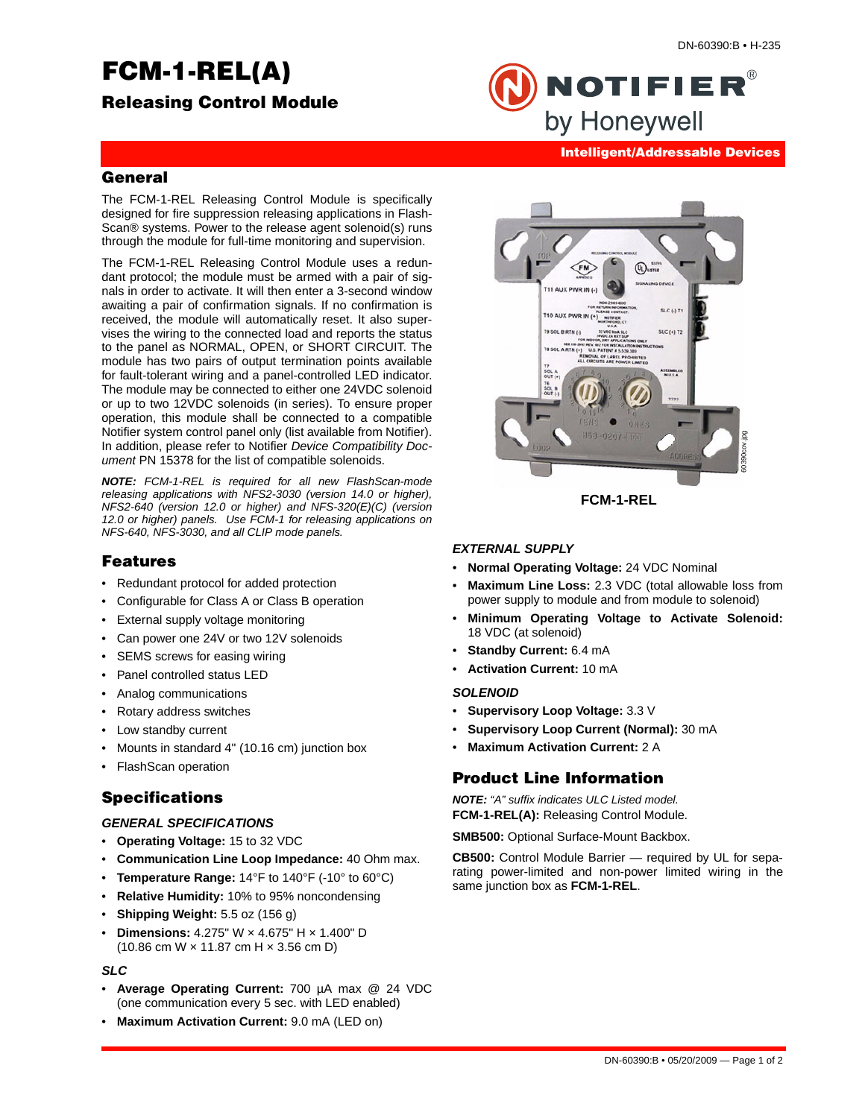# **FCM-1-REL(A)**



NOTIFIER® by Honeywell

# **Intelligent/Addressable Devices**

# **General**

The FCM-1-REL Releasing Control Module is specifically designed for fire suppression releasing applications in Flash-Scan® systems. Power to the release agent solenoid(s) runs through the module for full-time monitoring and supervision.

The FCM-1-REL Releasing Control Module uses a redundant protocol; the module must be armed with a pair of signals in order to activate. It will then enter a 3-second window awaiting a pair of confirmation signals. If no confirmation is received, the module will automatically reset. It also supervises the wiring to the connected load and reports the status to the panel as NORMAL, OPEN, or SHORT CIRCUIT. The module has two pairs of output termination points available for fault-tolerant wiring and a panel-controlled LED indicator. The module may be connected to either one 24VDC solenoid or up to two 12VDC solenoids (in series). To ensure proper operation, this module shall be connected to a compatible Notifier system control panel only (list available from Notifier). In addition, please refer to Notifier *Device Compatibility Document* PN 15378 for the list of compatible solenoids.

*NOTE: FCM-1-REL is required for all new FlashScan-mode releasing applications with NFS2-3030 (version 14.0 or higher), NFS2-640 (version 12.0 or higher) and NFS-320(E)(C) (version 12.0 or higher) panels. Use FCM-1 for releasing applications on NFS-640, NFS-3030, and all CLIP mode panels.* 

### **Features**

- Redundant protocol for added protection
- Configurable for Class A or Class B operation
- External supply voltage monitoring
- Can power one 24V or two 12V solenoids
- SEMS screws for easing wiring
- Panel controlled status LED
- Analog communications
- Rotary address switches
- Low standby current
- Mounts in standard 4" (10.16 cm) junction box
- FlashScan operation

# **Specifications**

### *GENERAL SPECIFICATIONS*

- **Operating Voltage:** 15 to 32 VDC
- **Communication Line Loop Impedance:** 40 Ohm max.
- **Temperature Range:** 14°F to 140°F (-10° to 60°C)
- **Relative Humidity:** 10% to 95% noncondensing
- **Shipping Weight:** 5.5 oz (156 g)
- **Dimensions:** 4.275" W × 4.675" H × 1.400" D (10.86 cm W × 11.87 cm H × 3.56 cm D)

### *SLC*

- **Average Operating Current:** 700 µA max @ 24 VDC (one communication every 5 sec. with LED enabled)
- **Maximum Activation Current:** 9.0 mA (LED on)



**FCM-1-REL**

### *EXTERNAL SUPPLY*

- **Normal Operating Voltage:** 24 VDC Nominal
- **Maximum Line Loss:** 2.3 VDC (total allowable loss from power supply to module and from module to solenoid)
- **Minimum Operating Voltage to Activate Solenoid:** 18 VDC (at solenoid)
- **Standby Current:** 6.4 mA
- **Activation Current:** 10 mA

### *SOLENOID*

- **Supervisory Loop Voltage:** 3.3 V
- **Supervisory Loop Current (Normal):** 30 mA
- **Maximum Activation Current:** 2 A

# **Product Line Information**

*NOTE: "A" suffix indicates ULC Listed model.* **FCM-1-REL(A):** Releasing Control Module.

**SMB500:** Optional Surface-Mount Backbox.

**CB500:** Control Module Barrier — required by UL for separating power-limited and non-power limited wiring in the same junction box as **FCM-1-REL**.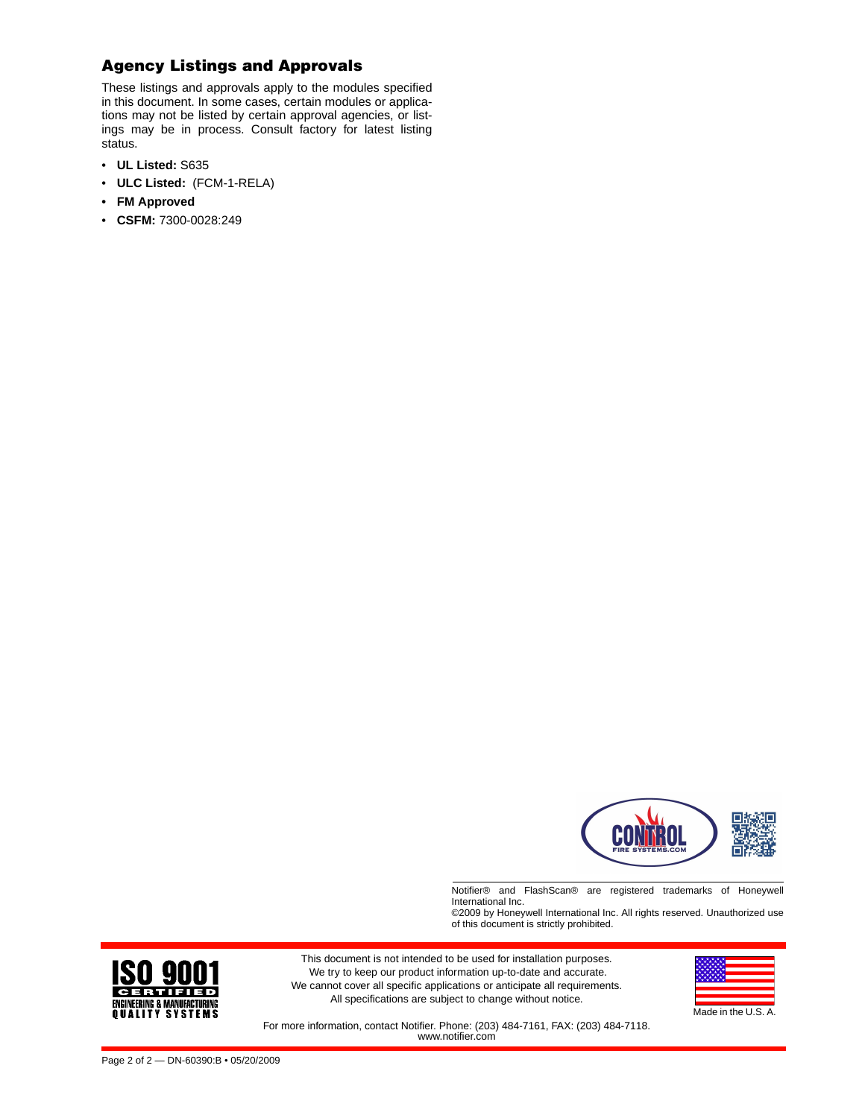# **Agency Listings and Approvals**

These listings and approvals apply to the modules specified in this document. In some cases, certain modules or applications may not be listed by certain approval agencies, or listings may be in process. Consult factory for latest listing status.

- **UL Listed:** S635
- **ULC Listed:** (FCM-1-RELA)
- **• FM Approved**
- **CSFM:** 7300-0028:249



Notifier® and FlashScan® are registered trademarks of Honeywell International Inc.

©2009 by Honeywell International Inc. All rights reserved. Unauthorized use of this document is strictly prohibited.



This document is not intended to be used for installation purposes. We try to keep our product information up-to-date and accurate. We cannot cover all specific applications or anticipate all requirements. All specifications are subject to change without notice.



For more information, contact Notifier. Phone: (203) 484-7161, FAX: (203) 484-7118. www.notifier.com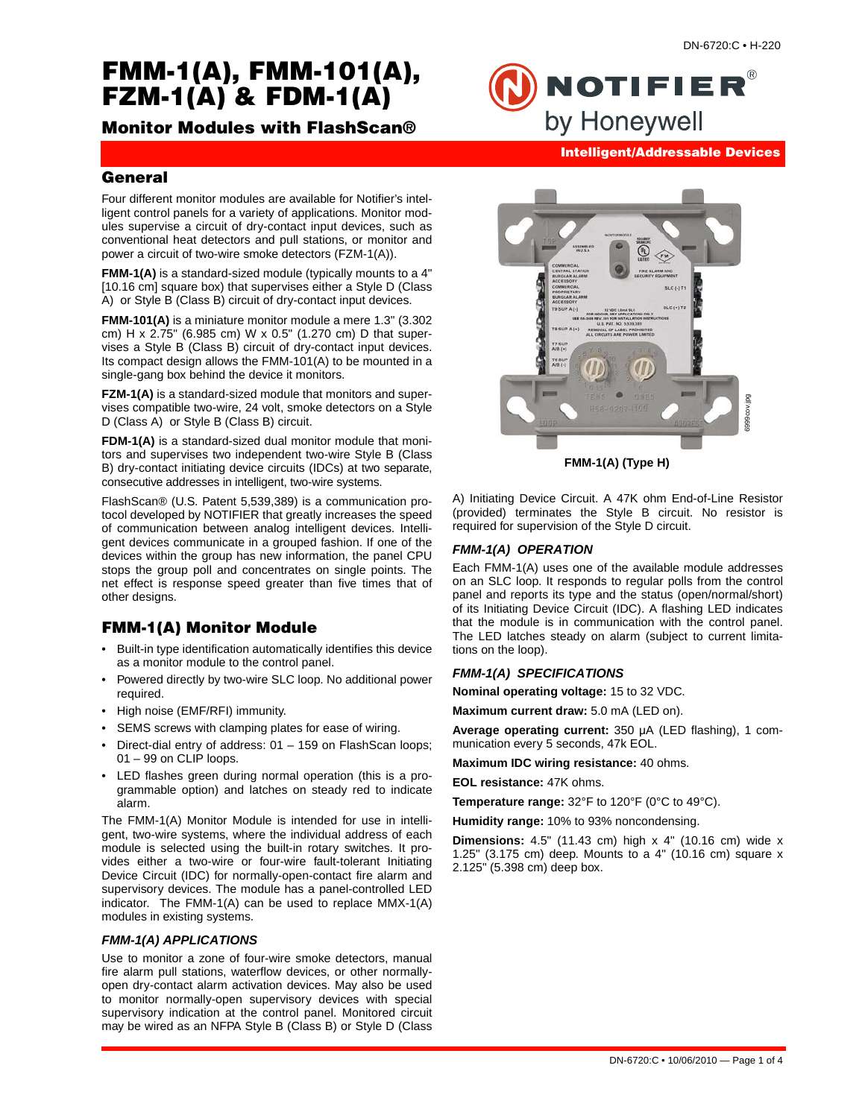# **FMM-1(A), FMM-101(A), FZM-1(A) & FDM-1(A)**

# **Monitor Modules with FlashScan®**

NOTIFIER $^\circ$ by Honeywell **Intelligent/Addressable Devices**

# **General**

Four different monitor modules are available for Notifier's intelligent control panels for a variety of applications. Monitor modules supervise a circuit of dry-contact input devices, such as conventional heat detectors and pull stations, or monitor and power a circuit of two-wire smoke detectors (FZM-1(A)).

**FMM-1(A)** is a standard-sized module (typically mounts to a 4" [10.16 cm] square box) that supervises either a Style D (Class A) or Style B (Class B) circuit of dry-contact input devices.

**FMM-101(A)** is a miniature monitor module a mere 1.3" (3.302 cm) H x 2.75" (6.985 cm) W x 0.5" (1.270 cm) D that supervises a Style B (Class B) circuit of dry-contact input devices. Its compact design allows the FMM-101(A) to be mounted in a single-gang box behind the device it monitors.

**FZM-1(A)** is a standard-sized module that monitors and supervises compatible two-wire, 24 volt, smoke detectors on a Style D (Class A) or Style B (Class B) circuit.

**FDM-1(A)** is a standard-sized dual monitor module that monitors and supervises two independent two-wire Style B (Class B) dry-contact initiating device circuits (IDCs) at two separate, consecutive addresses in intelligent, two-wire systems.

FlashScan® (U.S. Patent 5,539,389) is a communication protocol developed by NOTIFIER that greatly increases the speed of communication between analog intelligent devices. Intelligent devices communicate in a grouped fashion. If one of the devices within the group has new information, the panel CPU stops the group poll and concentrates on single points. The net effect is response speed greater than five times that of other designs.

# **FMM-1(A) Monitor Module**

- Built-in type identification automatically identifies this device as a monitor module to the control panel.
- Powered directly by two-wire SLC loop. No additional power required.
- High noise (EMF/RFI) immunity.
- SEMS screws with clamping plates for ease of wiring.
- Direct-dial entry of address: 01 159 on FlashScan loops; 01 – 99 on CLIP loops.
- LED flashes green during normal operation (this is a programmable option) and latches on steady red to indicate alarm.

The FMM-1(A) Monitor Module is intended for use in intelligent, two-wire systems, where the individual address of each module is selected using the built-in rotary switches. It provides either a two-wire or four-wire fault-tolerant Initiating Device Circuit (IDC) for normally-open-contact fire alarm and supervisory devices. The module has a panel-controlled LED indicator. The FMM-1(A) can be used to replace MMX-1(A) modules in existing systems.

### *FMM-1(A) APPLICATIONS*

Use to monitor a zone of four-wire smoke detectors, manual fire alarm pull stations, waterflow devices, or other normallyopen dry-contact alarm activation devices. May also be used to monitor normally-open supervisory devices with special supervisory indication at the control panel. Monitored circuit may be wired as an NFPA Style B (Class B) or Style D (Class



**FMM-1(A) (Type H)**

A) Initiating Device Circuit. A 47K ohm End-of-Line Resistor (provided) terminates the Style B circuit. No resistor is required for supervision of the Style D circuit.

### *FMM-1(A) OPERATION*

Each FMM-1(A) uses one of the available module addresses on an SLC loop. It responds to regular polls from the control panel and reports its type and the status (open/normal/short) of its Initiating Device Circuit (IDC). A flashing LED indicates that the module is in communication with the control panel. The LED latches steady on alarm (subject to current limitations on the loop).

### *FMM-1(A) SPECIFICATIONS*

**Nominal operating voltage:** 15 to 32 VDC.

**Maximum current draw:** 5.0 mA (LED on).

**Average operating current:** 350 μA (LED flashing), 1 communication every 5 seconds, 47k EOL.

**Maximum IDC wiring resistance:** 40 ohms.

**EOL resistance:** 47K ohms.

**Temperature range:** 32°F to 120°F (0°C to 49°C).

**Humidity range:** 10% to 93% noncondensing.

**Dimensions:** 4.5" (11.43 cm) high x 4" (10.16 cm) wide x 1.25" (3.175 cm) deep. Mounts to a 4" (10.16 cm) square x 2.125" (5.398 cm) deep box.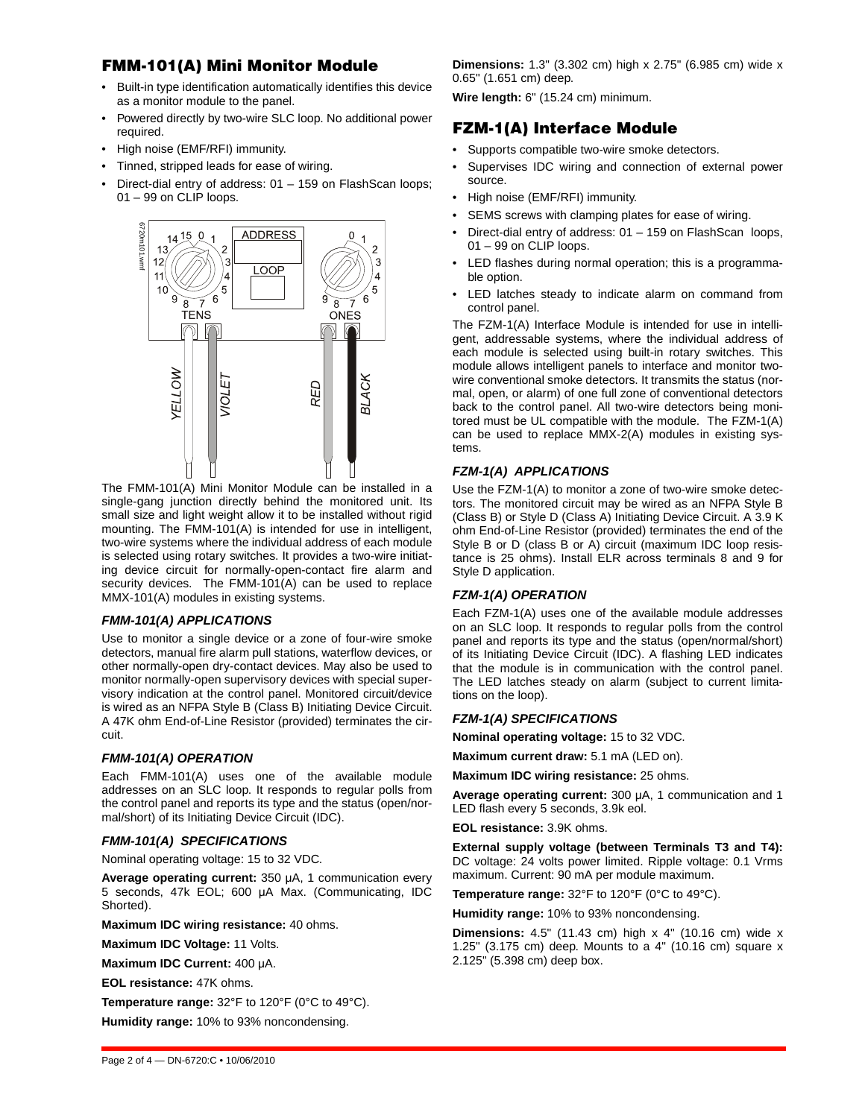# **FMM-101(A) Mini Monitor Module**

- Built-in type identification automatically identifies this device as a monitor module to the panel.
- Powered directly by two-wire SLC loop. No additional power required.
- High noise (EMF/RFI) immunity.
- Tinned, stripped leads for ease of wiring.
- Direct-dial entry of address: 01 159 on FlashScan loops; 01 – 99 on CLIP loops.



The FMM-101(A) Mini Monitor Module can be installed in a single-gang junction directly behind the monitored unit. Its small size and light weight allow it to be installed without rigid mounting. The FMM-101(A) is intended for use in intelligent, two-wire systems where the individual address of each module is selected using rotary switches. It provides a two-wire initiating device circuit for normally-open-contact fire alarm and security devices. The FMM-101(A) can be used to replace MMX-101(A) modules in existing systems.

### *FMM-101(A) APPLICATIONS*

Use to monitor a single device or a zone of four-wire smoke detectors, manual fire alarm pull stations, waterflow devices, or other normally-open dry-contact devices. May also be used to monitor normally-open supervisory devices with special supervisory indication at the control panel. Monitored circuit/device is wired as an NFPA Style B (Class B) Initiating Device Circuit. A 47K ohm End-of-Line Resistor (provided) terminates the circuit.

### *FMM-101(A) OPERATION*

Each FMM-101(A) uses one of the available module addresses on an SLC loop. It responds to regular polls from the control panel and reports its type and the status (open/normal/short) of its Initiating Device Circuit (IDC).

### *FMM-101(A) SPECIFICATIONS*

Nominal operating voltage: 15 to 32 VDC.

**Average operating current:** 350 μA, 1 communication every 5 seconds, 47k EOL; 600 μA Max. (Communicating, IDC Shorted).

**Maximum IDC wiring resistance:** 40 ohms.

**Maximum IDC Voltage:** 11 Volts.

**Maximum IDC Current:** 400 μA.

**EOL resistance:** 47K ohms.

**Temperature range:** 32°F to 120°F (0°C to 49°C).

**Humidity range:** 10% to 93% noncondensing.

**Dimensions:** 1.3" (3.302 cm) high x 2.75" (6.985 cm) wide x 0.65" (1.651 cm) deep.

**Wire length:** 6" (15.24 cm) minimum.

# **FZM-1(A) Interface Module**

- Supports compatible two-wire smoke detectors.
- Supervises IDC wiring and connection of external power source.
- High noise (EMF/RFI) immunity.
- SEMS screws with clamping plates for ease of wiring.
- Direct-dial entry of address: 01 159 on FlashScan loops, 01 – 99 on CLIP loops.
- LED flashes during normal operation; this is a programmable option.
- LED latches steady to indicate alarm on command from control panel.

The FZM-1(A) Interface Module is intended for use in intelligent, addressable systems, where the individual address of each module is selected using built-in rotary switches. This module allows intelligent panels to interface and monitor twowire conventional smoke detectors. It transmits the status (normal, open, or alarm) of one full zone of conventional detectors back to the control panel. All two-wire detectors being monitored must be UL compatible with the module. The FZM-1(A) can be used to replace MMX-2(A) modules in existing systems.

### *FZM-1(A) APPLICATIONS*

Use the FZM-1(A) to monitor a zone of two-wire smoke detectors. The monitored circuit may be wired as an NFPA Style B (Class B) or Style D (Class A) Initiating Device Circuit. A 3.9 K ohm End-of-Line Resistor (provided) terminates the end of the Style B or D (class B or A) circuit (maximum IDC loop resistance is 25 ohms). Install ELR across terminals 8 and 9 for Style D application.

### *FZM-1(A) OPERATION*

Each FZM-1(A) uses one of the available module addresses on an SLC loop. It responds to regular polls from the control panel and reports its type and the status (open/normal/short) of its Initiating Device Circuit (IDC). A flashing LED indicates that the module is in communication with the control panel. The LED latches steady on alarm (subject to current limitations on the loop).

### *FZM-1(A) SPECIFICATIONS*

**Nominal operating voltage:** 15 to 32 VDC.

**Maximum current draw:** 5.1 mA (LED on).

**Maximum IDC wiring resistance:** 25 ohms.

**Average operating current:** 300 μA, 1 communication and 1 LED flash every 5 seconds, 3.9k eol.

**EOL resistance:** 3.9K ohms.

**External supply voltage (between Terminals T3 and T4):** DC voltage: 24 volts power limited. Ripple voltage: 0.1 Vrms maximum. Current: 90 mA per module maximum.

**Temperature range:** 32°F to 120°F (0°C to 49°C).

**Humidity range:** 10% to 93% noncondensing.

**Dimensions:** 4.5" (11.43 cm) high x 4" (10.16 cm) wide x 1.25" (3.175 cm) deep. Mounts to a 4" (10.16 cm) square x 2.125" (5.398 cm) deep box.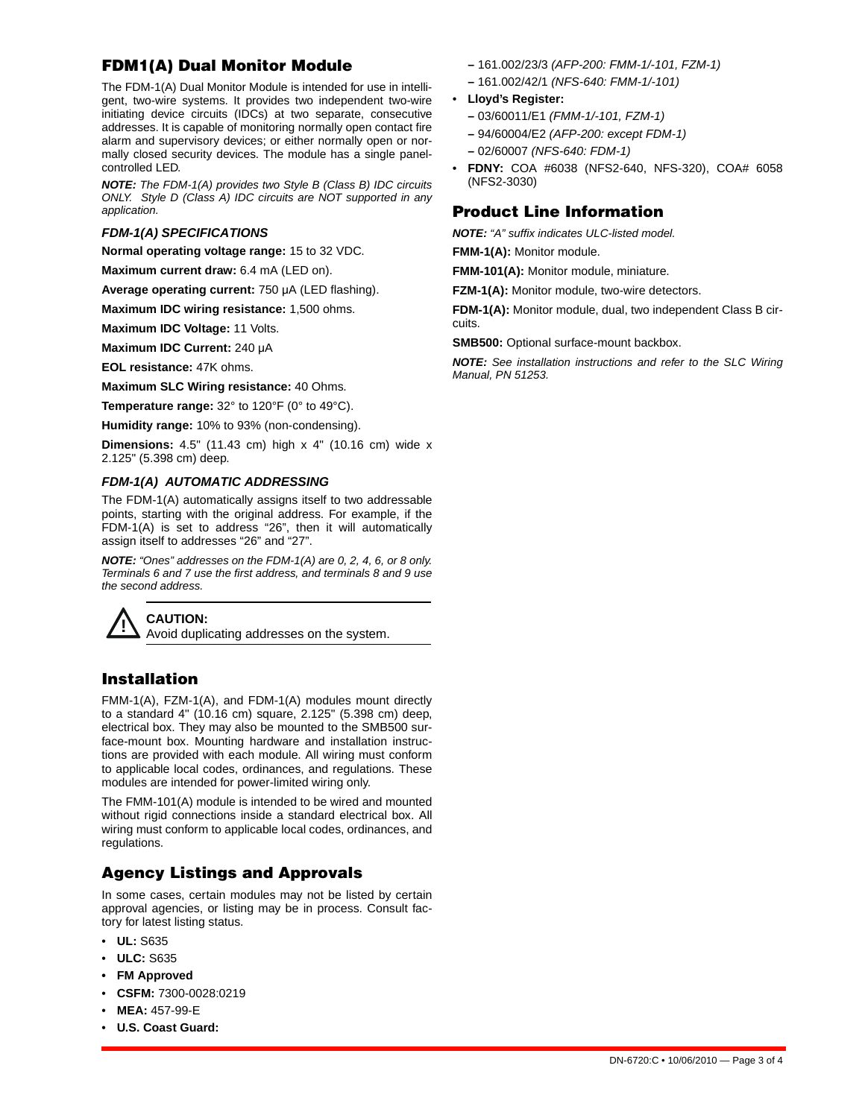# **FDM1(A) Dual Monitor Module**

The FDM-1(A) Dual Monitor Module is intended for use in intelligent, two-wire systems. It provides two independent two-wire initiating device circuits (IDCs) at two separate, consecutive addresses. It is capable of monitoring normally open contact fire alarm and supervisory devices; or either normally open or normally closed security devices. The module has a single panelcontrolled LED.

*NOTE: The FDM-1(A) provides two Style B (Class B) IDC circuits ONLY. Style D (Class A) IDC circuits are NOT supported in any application.*

### *FDM-1(A) SPECIFICATIONS*

**Normal operating voltage range:** 15 to 32 VDC.

**Maximum current draw:** 6.4 mA (LED on).

**Average operating current:** 750 μA (LED flashing).

**Maximum IDC wiring resistance:** 1,500 ohms.

**Maximum IDC Voltage:** 11 Volts.

**Maximum IDC Current:** 240 μA

**EOL resistance:** 47K ohms.

**Maximum SLC Wiring resistance:** 40 Ohms.

**Temperature range:** 32° to 120°F (0° to 49°C).

**Humidity range:** 10% to 93% (non-condensing).

**Dimensions:** 4.5" (11.43 cm) high x 4" (10.16 cm) wide x 2.125" (5.398 cm) deep.

### *FDM-1(A) AUTOMATIC ADDRESSING*

The FDM-1(A) automatically assigns itself to two addressable points, starting with the original address. For example, if the FDM-1(A) is set to address "26", then it will automatically assign itself to addresses "26" and "27".

*NOTE: "Ones" addresses on the FDM-1(A) are 0, 2, 4, 6, or 8 only. Terminals 6 and 7 use the first address, and terminals 8 and 9 use the second address.* 



**! CAUTION:** Avoid duplicating addresses on the system.

# **Installation**

FMM-1(A), FZM-1(A), and FDM-1(A) modules mount directly to a standard 4" (10.16 cm) square, 2.125" (5.398 cm) deep, electrical box. They may also be mounted to the SMB500 surface-mount box. Mounting hardware and installation instructions are provided with each module. All wiring must conform to applicable local codes, ordinances, and regulations. These modules are intended for power-limited wiring only.

The FMM-101(A) module is intended to be wired and mounted without rigid connections inside a standard electrical box. All wiring must conform to applicable local codes, ordinances, and regulations.

# **Agency Listings and Approvals**

In some cases, certain modules may not be listed by certain approval agencies, or listing may be in process. Consult factory for latest listing status.

- **UL:** S635
- **ULC:** S635
- **FM Approved**
- **CSFM:** 7300-0028:0219
- **MEA:** 457-99-E
- **U.S. Coast Guard:**
- **–** 161.002/23/3 *(AFP-200: FMM-1/-101, FZM-1)*
- **–** 161.002/42/1 *(NFS-640: FMM-1/-101)*
- **Lloyd's Register:**
	- **–** 03/60011/E1 *(FMM-1/-101, FZM-1)*
	- **–** 94/60004/E2 *(AFP-200: except FDM-1)*
	- **–** 02/60007 *(NFS-640: FDM-1)*
- **FDNY:** COA #6038 (NFS2-640, NFS-320), COA# 6058 (NFS2-3030)

# **Product Line Information**

*NOTE: "A" suffix indicates ULC-listed model.*

**FMM-1(A):** Monitor module.

**FMM-101(A):** Monitor module, miniature.

**FZM-1(A):** Monitor module, two-wire detectors.

**FDM-1(A):** Monitor module, dual, two independent Class B circuits.

**SMB500:** Optional surface-mount backbox.

*NOTE: See installation instructions and refer to the SLC Wiring Manual, PN 51253.*